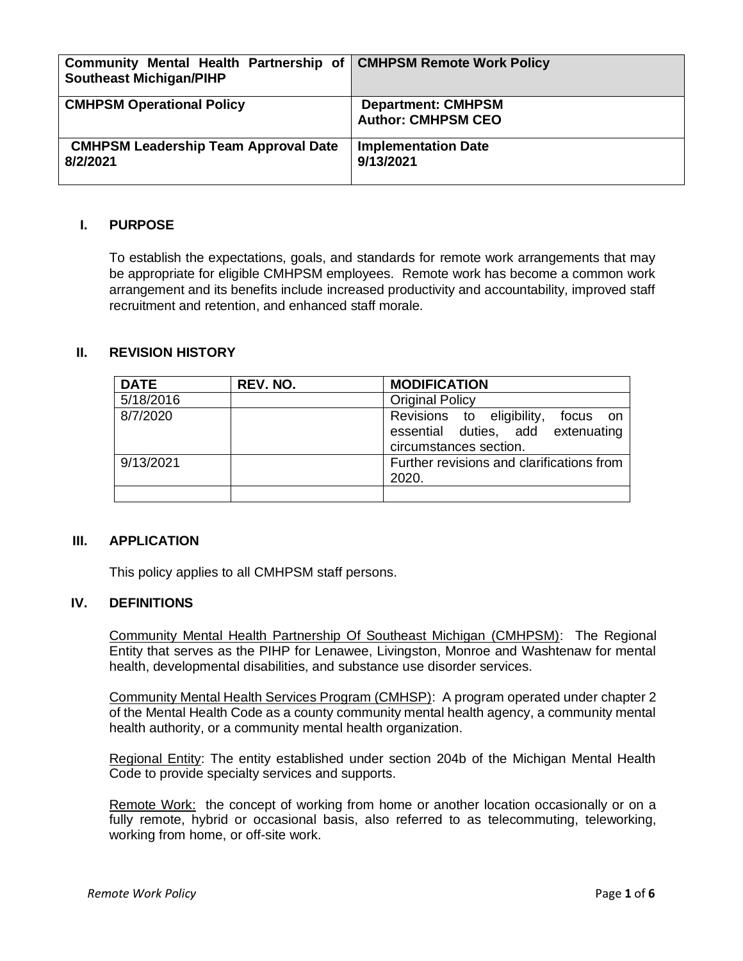| Community Mental Health Partnership of CMHPSM Remote Work Policy<br><b>Southeast Michigan/PIHP</b> |                                                        |
|----------------------------------------------------------------------------------------------------|--------------------------------------------------------|
| <b>CMHPSM Operational Policy</b>                                                                   | <b>Department: CMHPSM</b><br><b>Author: CMHPSM CEO</b> |
| <b>CMHPSM Leadership Team Approval Date</b><br>8/2/2021                                            | <b>Implementation Date</b><br>9/13/2021                |

### **I. PURPOSE**

To establish the expectations, goals, and standards for remote work arrangements that may be appropriate for eligible CMHPSM employees. Remote work has become a common work arrangement and its benefits include increased productivity and accountability, improved staff recruitment and retention, and enhanced staff morale.

## **II. REVISION HISTORY**

| <b>DATE</b> | REV. NO. | <b>MODIFICATION</b>                                                                                     |  |  |
|-------------|----------|---------------------------------------------------------------------------------------------------------|--|--|
| 5/18/2016   |          | <b>Original Policy</b>                                                                                  |  |  |
| 8/7/2020    |          | Revisions to eligibility,<br>focus<br>on<br>essential duties, add extenuating<br>circumstances section. |  |  |
| 9/13/2021   |          | Further revisions and clarifications from<br>2020.                                                      |  |  |
|             |          |                                                                                                         |  |  |

#### **III. APPLICATION**

This policy applies to all CMHPSM staff persons.

### **IV. DEFINITIONS**

Community Mental Health Partnership Of Southeast Michigan (CMHPSM): The Regional Entity that serves as the PIHP for Lenawee, Livingston, Monroe and Washtenaw for mental health, developmental disabilities, and substance use disorder services.

Community Mental Health Services Program (CMHSP): A program operated under chapter 2 of the Mental Health Code as a county community mental health agency, a community mental health authority, or a community mental health organization.

Regional Entity: The entity established under section 204b of the Michigan Mental Health Code to provide specialty services and supports.

Remote Work: the concept of working from home or another location occasionally or on a fully remote, hybrid or occasional basis, also referred to as telecommuting, teleworking, working from home, or off-site work.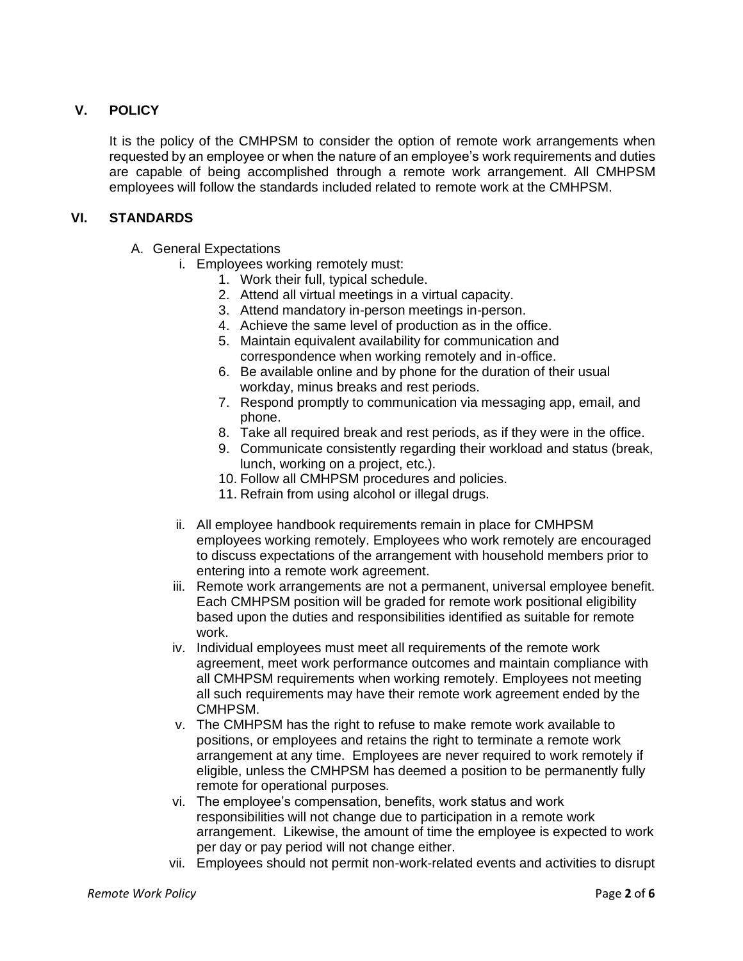# **V. POLICY**

It is the policy of the CMHPSM to consider the option of remote work arrangements when requested by an employee or when the nature of an employee's work requirements and duties are capable of being accomplished through a remote work arrangement. All CMHPSM employees will follow the standards included related to remote work at the CMHPSM.

# **VI. STANDARDS**

- A. General Expectations
	- i. Employees working remotely must:
		- 1. Work their full, typical schedule.
		- 2. Attend all virtual meetings in a virtual capacity.
		- 3. Attend mandatory in-person meetings in-person.
		- 4. Achieve the same level of production as in the office.
		- 5. Maintain equivalent availability for communication and correspondence when working remotely and in-office.
		- 6. Be available online and by phone for the duration of their usual workday, minus breaks and rest periods.
		- 7. Respond promptly to communication via messaging app, email, and phone.
		- 8. Take all required break and rest periods, as if they were in the office.
		- 9. Communicate consistently regarding their workload and status (break, lunch, working on a project, etc.).
		- 10. Follow all CMHPSM procedures and policies.
		- 11. Refrain from using alcohol or illegal drugs.
	- ii. All employee handbook requirements remain in place for CMHPSM employees working remotely. Employees who work remotely are encouraged to discuss expectations of the arrangement with household members prior to entering into a remote work agreement.
	- iii. Remote work arrangements are not a permanent, universal employee benefit. Each CMHPSM position will be graded for remote work positional eligibility based upon the duties and responsibilities identified as suitable for remote work.
	- iv. Individual employees must meet all requirements of the remote work agreement, meet work performance outcomes and maintain compliance with all CMHPSM requirements when working remotely. Employees not meeting all such requirements may have their remote work agreement ended by the CMHPSM.
	- v. The CMHPSM has the right to refuse to make remote work available to positions, or employees and retains the right to terminate a remote work arrangement at any time. Employees are never required to work remotely if eligible, unless the CMHPSM has deemed a position to be permanently fully remote for operational purposes.
	- vi. The employee's compensation, benefits, work status and work responsibilities will not change due to participation in a remote work arrangement. Likewise, the amount of time the employee is expected to work per day or pay period will not change either.
	- vii. Employees should not permit non-work-related events and activities to disrupt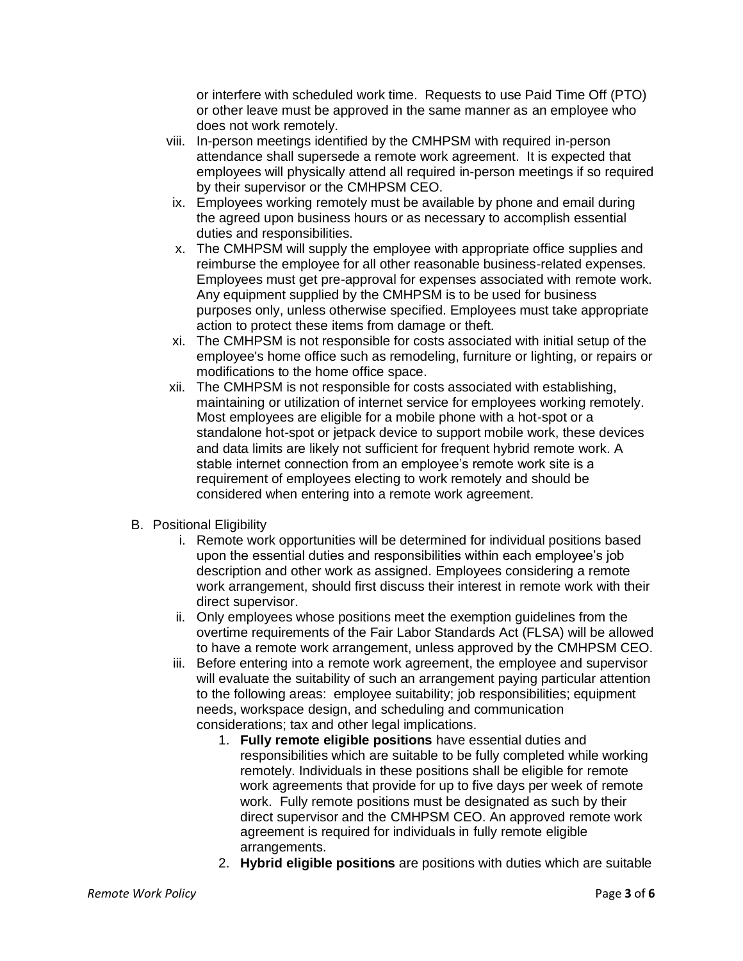or interfere with scheduled work time. Requests to use Paid Time Off (PTO) or other leave must be approved in the same manner as an employee who does not work remotely.

- viii. In-person meetings identified by the CMHPSM with required in-person attendance shall supersede a remote work agreement. It is expected that employees will physically attend all required in-person meetings if so required by their supervisor or the CMHPSM CEO.
- ix. Employees working remotely must be available by phone and email during the agreed upon business hours or as necessary to accomplish essential duties and responsibilities.
- x. The CMHPSM will supply the employee with appropriate office supplies and reimburse the employee for all other reasonable business-related expenses. Employees must get pre-approval for expenses associated with remote work. Any equipment supplied by the CMHPSM is to be used for business purposes only, unless otherwise specified. Employees must take appropriate action to protect these items from damage or theft.
- xi. The CMHPSM is not responsible for costs associated with initial setup of the employee's home office such as remodeling, furniture or lighting, or repairs or modifications to the home office space.
- xii. The CMHPSM is not responsible for costs associated with establishing, maintaining or utilization of internet service for employees working remotely. Most employees are eligible for a mobile phone with a hot-spot or a standalone hot-spot or jetpack device to support mobile work, these devices and data limits are likely not sufficient for frequent hybrid remote work. A stable internet connection from an employee's remote work site is a requirement of employees electing to work remotely and should be considered when entering into a remote work agreement.
- B. Positional Eligibility
	- i. Remote work opportunities will be determined for individual positions based upon the essential duties and responsibilities within each employee's job description and other work as assigned. Employees considering a remote work arrangement, should first discuss their interest in remote work with their direct supervisor.
	- ii. Only employees whose positions meet the exemption guidelines from the overtime requirements of the Fair Labor Standards Act (FLSA) will be allowed to have a remote work arrangement, unless approved by the CMHPSM CEO.
	- iii. Before entering into a remote work agreement, the employee and supervisor will evaluate the suitability of such an arrangement paying particular attention to the following areas: employee suitability; job responsibilities; equipment needs, workspace design, and scheduling and communication considerations; tax and other legal implications.
		- 1. **Fully remote eligible positions** have essential duties and responsibilities which are suitable to be fully completed while working remotely. Individuals in these positions shall be eligible for remote work agreements that provide for up to five days per week of remote work. Fully remote positions must be designated as such by their direct supervisor and the CMHPSM CEO. An approved remote work agreement is required for individuals in fully remote eligible arrangements.
		- 2. **Hybrid eligible positions** are positions with duties which are suitable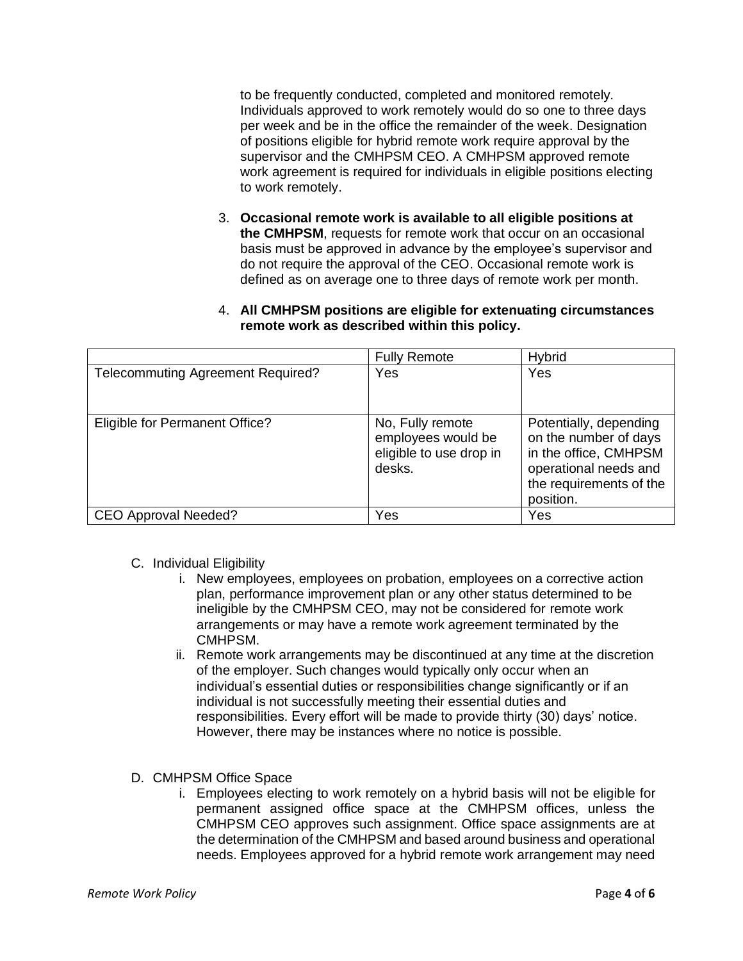to be frequently conducted, completed and monitored remotely. Individuals approved to work remotely would do so one to three days per week and be in the office the remainder of the week. Designation of positions eligible for hybrid remote work require approval by the supervisor and the CMHPSM CEO. A CMHPSM approved remote work agreement is required for individuals in eligible positions electing to work remotely.

- 3. **Occasional remote work is available to all eligible positions at the CMHPSM**, requests for remote work that occur on an occasional basis must be approved in advance by the employee's supervisor and do not require the approval of the CEO. Occasional remote work is defined as on average one to three days of remote work per month.
- 4. **All CMHPSM positions are eligible for extenuating circumstances remote work as described within this policy.**

|                                          | <b>Fully Remote</b>                                                         | <b>Hybrid</b>                                                                                                                             |
|------------------------------------------|-----------------------------------------------------------------------------|-------------------------------------------------------------------------------------------------------------------------------------------|
| <b>Telecommuting Agreement Required?</b> | Yes                                                                         | Yes                                                                                                                                       |
| Eligible for Permanent Office?           | No, Fully remote<br>employees would be<br>eligible to use drop in<br>desks. | Potentially, depending<br>on the number of days<br>in the office, CMHPSM<br>operational needs and<br>the requirements of the<br>position. |
| <b>CEO Approval Needed?</b>              | Yes                                                                         | Yes                                                                                                                                       |

- C. Individual Eligibility
	- i. New employees, employees on probation, employees on a corrective action plan, performance improvement plan or any other status determined to be ineligible by the CMHPSM CEO, may not be considered for remote work arrangements or may have a remote work agreement terminated by the CMHPSM.
	- ii. Remote work arrangements may be discontinued at any time at the discretion of the employer. Such changes would typically only occur when an individual's essential duties or responsibilities change significantly or if an individual is not successfully meeting their essential duties and responsibilities. Every effort will be made to provide thirty (30) days' notice. However, there may be instances where no notice is possible.
- D. CMHPSM Office Space
	- i. Employees electing to work remotely on a hybrid basis will not be eligible for permanent assigned office space at the CMHPSM offices, unless the CMHPSM CEO approves such assignment. Office space assignments are at the determination of the CMHPSM and based around business and operational needs. Employees approved for a hybrid remote work arrangement may need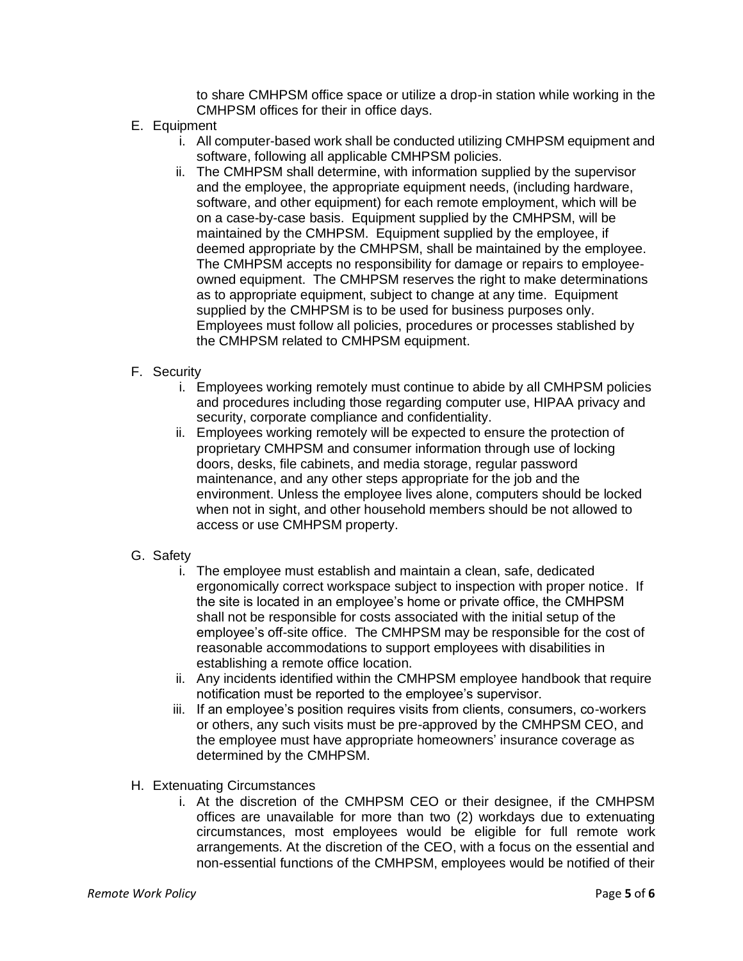to share CMHPSM office space or utilize a drop-in station while working in the CMHPSM offices for their in office days.

- E. Equipment
	- i. All computer-based work shall be conducted utilizing CMHPSM equipment and software, following all applicable CMHPSM policies.
	- ii. The CMHPSM shall determine, with information supplied by the supervisor and the employee, the appropriate equipment needs, (including hardware, software, and other equipment) for each remote employment, which will be on a case-by-case basis. Equipment supplied by the CMHPSM, will be maintained by the CMHPSM. Equipment supplied by the employee, if deemed appropriate by the CMHPSM, shall be maintained by the employee. The CMHPSM accepts no responsibility for damage or repairs to employeeowned equipment. The CMHPSM reserves the right to make determinations as to appropriate equipment, subject to change at any time. Equipment supplied by the CMHPSM is to be used for business purposes only. Employees must follow all policies, procedures or processes stablished by the CMHPSM related to CMHPSM equipment.

## F. Security

- i. Employees working remotely must continue to abide by all CMHPSM policies and procedures including those regarding computer use, HIPAA privacy and security, corporate compliance and confidentiality.
- ii. Employees working remotely will be expected to ensure the protection of proprietary CMHPSM and consumer information through use of locking doors, desks, file cabinets, and media storage, regular password maintenance, and any other steps appropriate for the job and the environment. Unless the employee lives alone, computers should be locked when not in sight, and other household members should be not allowed to access or use CMHPSM property.

#### G. Safety

- i. The employee must establish and maintain a clean, safe, dedicated ergonomically correct workspace subject to inspection with proper notice. If the site is located in an employee's home or private office, the CMHPSM shall not be responsible for costs associated with the initial setup of the employee's off-site office. The CMHPSM may be responsible for the cost of reasonable accommodations to support employees with disabilities in establishing a remote office location.
- ii. Any incidents identified within the CMHPSM employee handbook that require notification must be reported to the employee's supervisor.
- iii. If an employee's position requires visits from clients, consumers, co-workers or others, any such visits must be pre-approved by the CMHPSM CEO, and the employee must have appropriate homeowners' insurance coverage as determined by the CMHPSM.
- H. Extenuating Circumstances
	- i. At the discretion of the CMHPSM CEO or their designee, if the CMHPSM offices are unavailable for more than two (2) workdays due to extenuating circumstances, most employees would be eligible for full remote work arrangements. At the discretion of the CEO, with a focus on the essential and non-essential functions of the CMHPSM, employees would be notified of their